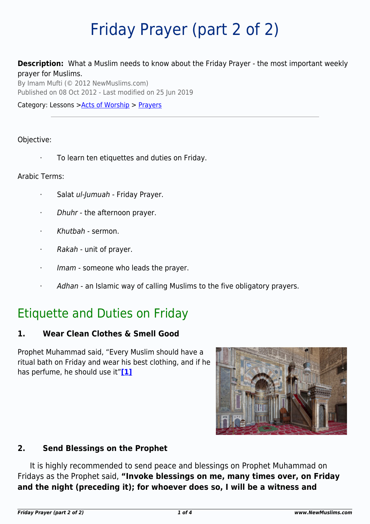# Friday Prayer (part 2 of 2)

**Description:** What a Muslim needs to know about the Friday Prayer - the most important weekly prayer for Muslims.

By Imam Mufti (© 2012 NewMuslims.com) Published on 08 Oct 2012 - Last modified on 25 Jun 2019

Category: Lessons >[Acts of Worship](http://www.newmuslims.com/category/132/) > [Prayers](http://www.newmuslims.com/category/147/)

#### Objective:

To learn ten etiquettes and duties on Friday.

#### Arabic Terms:

- Salat ul-Jumuah Friday Prayer.
- Dhuhr the afternoon prayer.
- · Khutbah sermon.
- · Rakah unit of prayer.
- Imam someone who leads the prayer.
- Adhan an Islamic way of calling Muslims to the five obligatory prayers.

# Etiquette and Duties on Friday

#### **1. Wear Clean Clothes & Smell Good**

<span id="page-0-0"></span>Prophet Muhammad said, "Every Muslim should have a ritual bath on Friday and wear his best clothing, and if he has perfume, he should use it"**[\[1\]](#page-2-0)**



#### **2. Send Blessings on the Prophet**

<span id="page-0-1"></span>It is highly recommended to send peace and blessings on Prophet Muhammad on Fridays as the Prophet said, **"Invoke blessings on me, many times over, on Friday and the night (preceding it); for whoever does so, I will be a witness and**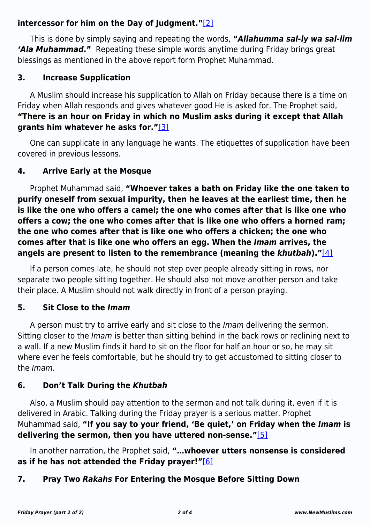### **intercessor for him on the Day of Judgment."**[\[2\]](#page-2-1)

This is done by simply saying and repeating the words, **"***Allahumma sal-ly wa sal-lim 'Ala Muhammad***."** Repeating these simple words anytime during Friday brings great blessings as mentioned in the above report form Prophet Muhammad.

### **3. Increase Supplication**

A Muslim should increase his supplication to Allah on Friday because there is a time on Friday when Allah responds and gives whatever good He is asked for. The Prophet said, **"There is an hour on Friday in which no Muslim asks during it except that Allah grants him whatever he asks for."**[\[3\]](#page-2-2)

<span id="page-1-0"></span>One can supplicate in any language he wants. The etiquettes of supplication have been covered in previous lessons.

### **4. Arrive Early at the Mosque**

Prophet Muhammad said, **"Whoever takes a bath on Friday like the one taken to purify oneself from sexual impurity, then he leaves at the earliest time, then he is like the one who offers a camel; the one who comes after that is like one who offers a cow; the one who comes after that is like one who offers a horned ram; the one who comes after that is like one who offers a chicken; the one who comes after that is like one who offers an egg. When the** *Imam* **arrives, the angels are present to listen to the remembrance (meaning the** *khutbah***)."**[\[4\]](#page-2-3)

<span id="page-1-1"></span>If a person comes late, he should not step over people already sitting in rows, nor separate two people sitting together. He should also not move another person and take their place. A Muslim should not walk directly in front of a person praying.

### **5. Sit Close to the** *Imam*

A person must try to arrive early and sit close to the Imam delivering the sermon. Sitting closer to the *Imam* is better than sitting behind in the back rows or reclining next to a wall. If a new Muslim finds it hard to sit on the floor for half an hour or so, he may sit where ever he feels comfortable, but he should try to get accustomed to sitting closer to the Imam.

## **6. Don't Talk During the** *Khutbah*

Also, a Muslim should pay attention to the sermon and not talk during it, even if it is delivered in Arabic. Talking during the Friday prayer is a serious matter. Prophet Muhammad said, **"If you say to your friend, 'Be quiet,' on Friday when the** *Imam* **is delivering the sermon, then you have uttered non-sense."**[\[5\]](#page-2-4)

<span id="page-1-3"></span><span id="page-1-2"></span>In another narration, the Prophet said, **"…whoever utters nonsense is considered as if he has not attended the Friday prayer!"**[\[6\]](#page-2-5)

## **7. Pray Two** *Rakahs* **For Entering the Mosque Before Sitting Down**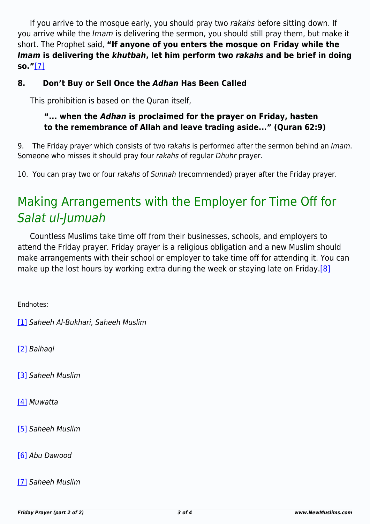If you arrive to the mosque early, you should pray two rakahs before sitting down. If you arrive while the Imam is delivering the sermon, you should still pray them, but make it short. The Prophet said, **"If anyone of you enters the mosque on Friday while the** *Imam* **is delivering the** *khutbah***, let him perform two** *rakahs* **and be brief in doing so."**[\[7\]](#page-2-6)

#### <span id="page-2-7"></span>**8. Don't Buy or Sell Once the** *Adhan* **Has Been Called**

This prohibition is based on the Quran itself,

#### **"... when the** *Adhan* **is proclaimed for the prayer on Friday, hasten to the remembrance of Allah and leave trading aside..." (Quran 62:9)**

9. The Friday prayer which consists of two rakahs is performed after the sermon behind an Imam. Someone who misses it should pray four rakahs of regular Dhuhr prayer.

10. You can pray two or four rakahs of Sunnah (recommended) prayer after the Friday prayer.

# Making Arrangements with the Employer for Time Off for Salat ul-Jumuah

<span id="page-2-8"></span>Countless Muslims take time off from their businesses, schools, and employers to attend the Friday prayer. Friday prayer is a religious obligation and a new Muslim should make arrangements with their school or employer to take time off for attending it. You can make up the lost hours by working extra during the week or staying late on Friday.<sup>[8]</sup>

<span id="page-2-0"></span>Endnotes:

[\[1\]](#page-0-0) Saheeh Al-Bukhari, Saheeh Muslim

<span id="page-2-1"></span>[\[2\]](#page-0-1) Baihaqi

<span id="page-2-2"></span>[\[3\]](#page-1-0) Saheeh Muslim

<span id="page-2-3"></span>[\[4\]](#page-1-1) Muwatta

<span id="page-2-4"></span>[\[5\]](#page-1-2) Saheeh Muslim

<span id="page-2-5"></span>[\[6\]](#page-1-3) Abu Dawood

<span id="page-2-6"></span>[\[7\]](#page-2-7) Saheeh Muslim